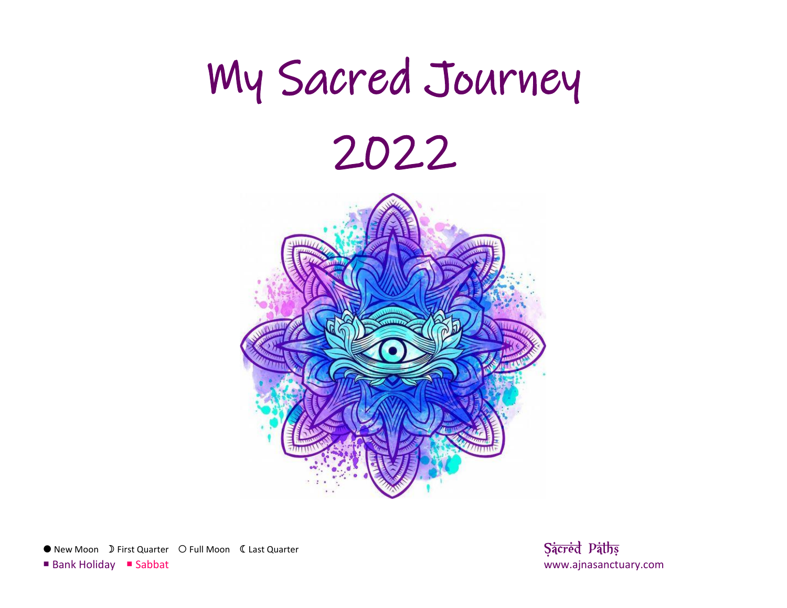

● New Moon D First Quarter O Full Moon C Last Quarter **Sacred Paths Sacred Paths**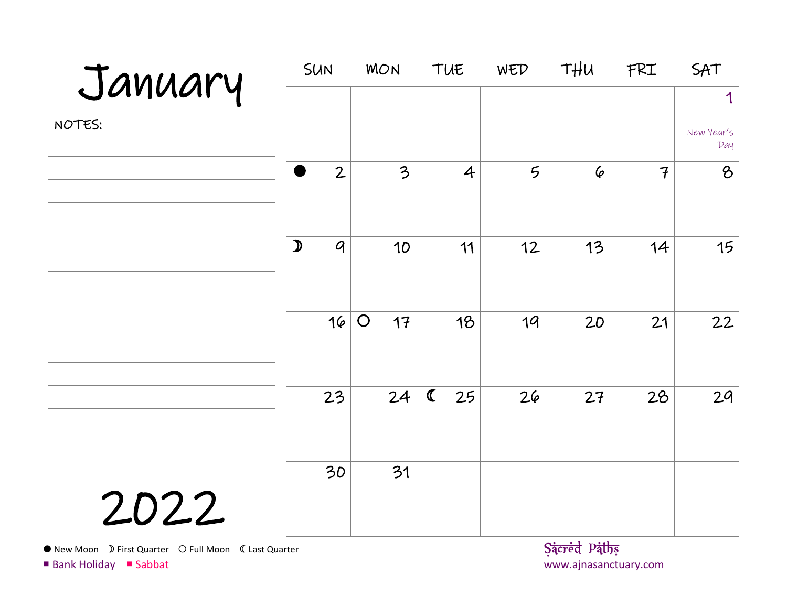| January                                               |               | SUN              | <b>MON</b>       |             | TUE            | WED | <b>THU</b>   | FRI            | SAT               |
|-------------------------------------------------------|---------------|------------------|------------------|-------------|----------------|-----|--------------|----------------|-------------------|
|                                                       |               |                  |                  |             |                |     |              |                | 1                 |
| NOTES:                                                |               |                  |                  |             |                |     |              |                | New Year's<br>Day |
|                                                       |               | $\overline{2}$   | 3                |             | $\overline{4}$ | 5   | 6            | $\overline{f}$ | $\delta$          |
|                                                       | $\mathcal{D}$ | $\boldsymbol{q}$ | 10               |             | 11             | 12  | 13           | 14             | 15                |
|                                                       |               | 16               | $\bigcirc$<br>17 |             | 18             | 19  | 20           | 21             | 22                |
|                                                       |               | 23               | 24               | $\mathbf C$ | 25             | 26  | 27           | 28             | 29                |
| 2022                                                  |               | 30               | 31               |             |                |     |              |                |                   |
| ● New Moon D First Quarter O Full Moon 《 Last Quarter |               |                  |                  |             |                |     | Sacred Paths |                |                   |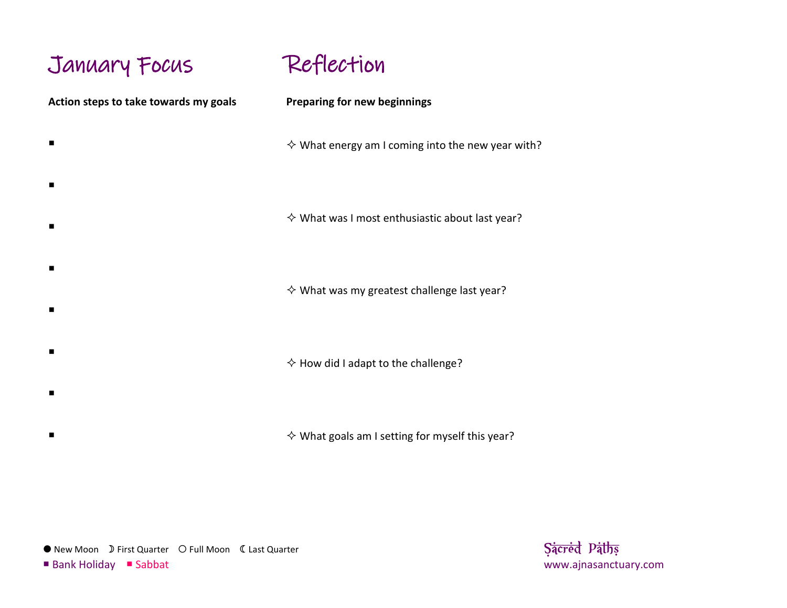# January Focus

 $\blacksquare$ 

 $\blacksquare$ 

 $\blacksquare$ 

 $\blacksquare$ 

 $\blacksquare$ 

 $\blacksquare$ 

 $\blacksquare$ 

 $\blacksquare$ 

Reflection

**Action steps to take towards my goals**

**Preparing for new beginnings**

 $\diamond$  What energy am I coming into the new year with?

 $\diamond$  What was I most enthusiastic about last year?

 $\diamond$  What was my greatest challenge last year?

 $\diamond$  How did I adapt to the challenge?

 $\diamond$  What goals am I setting for myself this year?

● New Moon D First Quarter O Full Moon C Last Quarter **Sacred Paths Sacred Paths**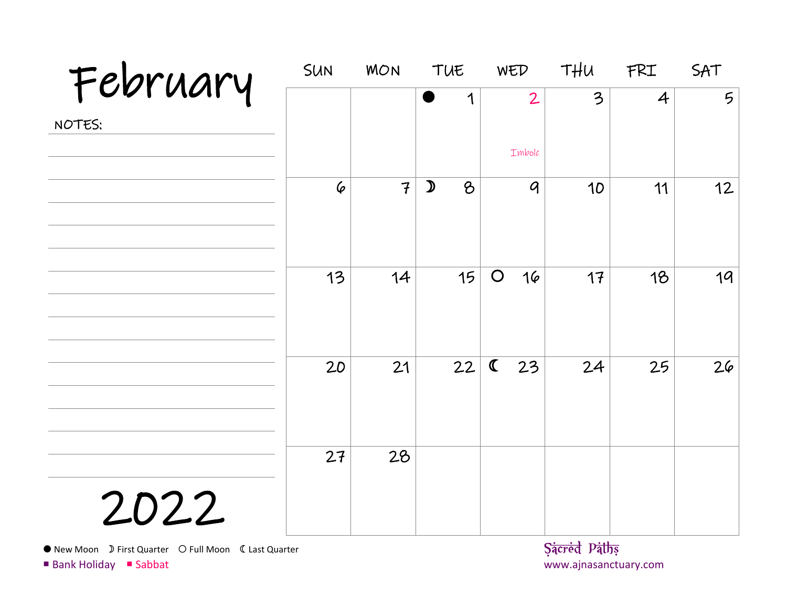| February | SUN       | <b>MON</b>     | TUE                            | WED               | THU | FRI            | SAT             |
|----------|-----------|----------------|--------------------------------|-------------------|-----|----------------|-----------------|
| NOTES:   |           |                | 1                              | $\overline{2}$    | 3   | $\overline{4}$ | $5\overline{)}$ |
|          |           |                |                                | Imbolc            |     |                |                 |
|          | $\varphi$ | $\overline{f}$ | $\mathcal{D}$<br>$\mathcal{B}$ | $\mathcal{G}$     | 10  | 11             | 12              |
|          | 13        | 14             | 15                             | $\bigcirc$<br>16  | 17  | 18             | 19              |
|          | 20        | 21             | 22                             | $\mathbf C$<br>23 | 24  | 25             | 26              |
| 2022     | 27        | 28             |                                |                   |     |                |                 |

New Moon First Quarter Full Moon Last Quarter **Sacred Paths**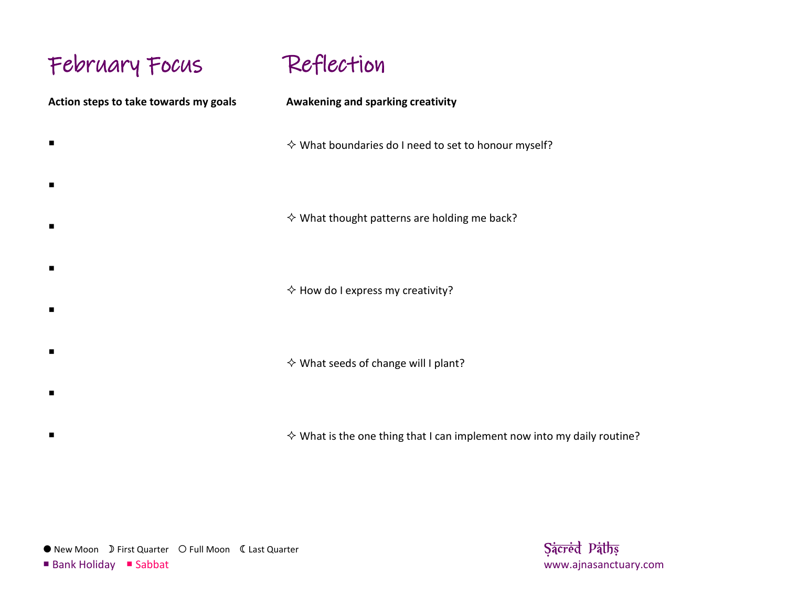# February Focus

 $\blacksquare$ 

 $\blacksquare$ 

 $\blacksquare$ 

 $\blacksquare$ 

 $\blacksquare$ 

 $\blacksquare$ 

 $\blacksquare$ 

 $\blacksquare$ 

Reflection

**Action steps to take towards my goals**

**Awakening and sparking creativity**

 $\diamond$  What boundaries do I need to set to honour myself?

 $\diamond$  What thought patterns are holding me back?

 $\Diamond$  How do I express my creativity?

 $\diamond$  What seeds of change will I plant?

 $\diamond$  What is the one thing that I can implement now into my daily routine?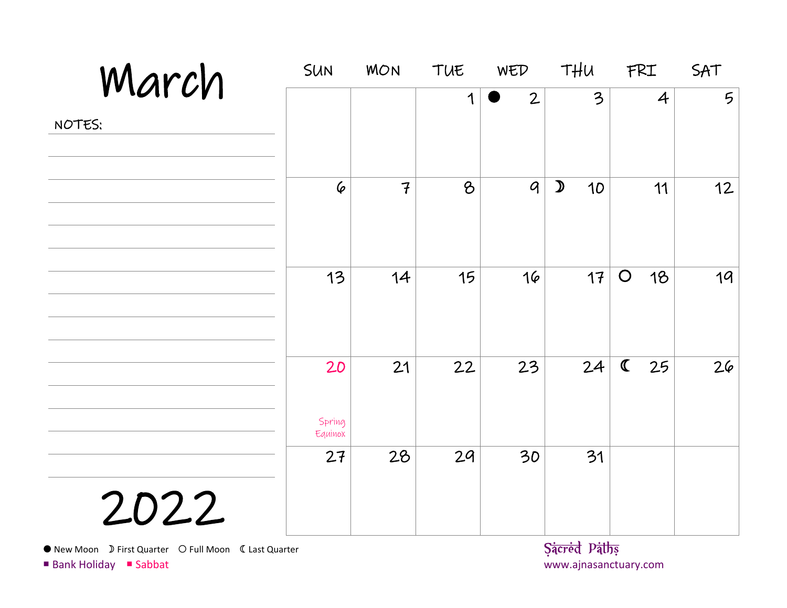| March  | <b>SUN</b>              | <b>MON</b>     | TUE | WED            | THU                 | FRI               | SAT             |
|--------|-------------------------|----------------|-----|----------------|---------------------|-------------------|-----------------|
| NOTES: |                         |                | 1   | $\overline{2}$ | 3                   | $\overline{4}$    | $5\overline{)}$ |
|        | $\varphi$               | $\overline{f}$ | 8   | $\mathcal{G}$  | $\mathcal{D}$<br>10 | 11                | 12              |
|        | 13                      | 14             | 15  | 16             | 17                  | $\bigcirc$<br>18  | 19              |
|        | 20<br>Spring<br>Equinox | 21             | 22  | 23             | 24                  | $\mathbf C$<br>25 | 26              |
| 2022   | 27                      | 28             | 29  | 30             | 31                  |                   |                 |

• New Moon D First Quarter O Full Moon C Last Quarter **Sacred Paths Sacred Paths**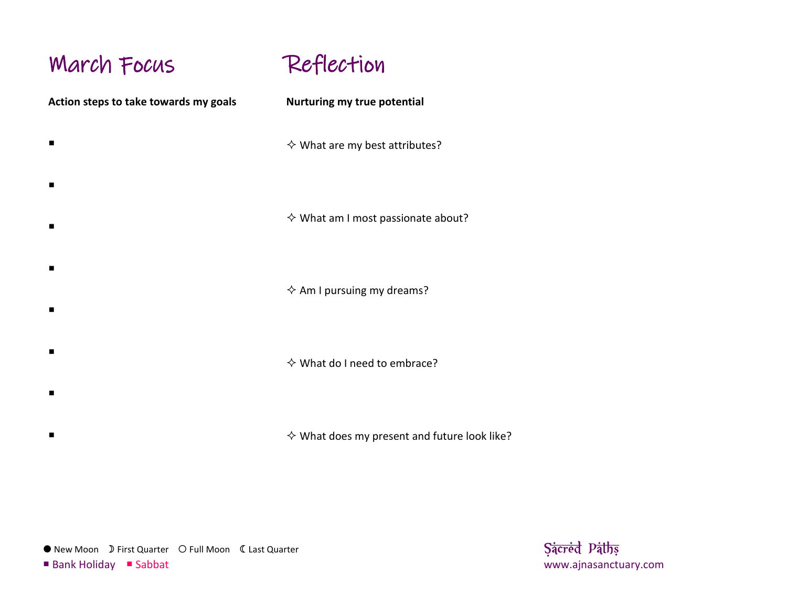### March Focus

 $\blacksquare$ 

 $\blacksquare$ 

 $\blacksquare$ 

 $\blacksquare$ 

 $\blacksquare$ 

 $\blacksquare$ 

 $\blacksquare$ 

 $\blacksquare$ 



**Action steps to take towards my goals**

**Nurturing my true potential**

 $\diamond$  What are my best attributes?

 $\diamond$  What am I most passionate about?

 $\Leftrightarrow$  Am I pursuing my dreams?

 $\diamond$  What do I need to embrace?

 $\diamond$  What does my present and future look like?

● New Moon D First Quarter O Full Moon C Last Quarter **Sacred Paths Sacred Paths**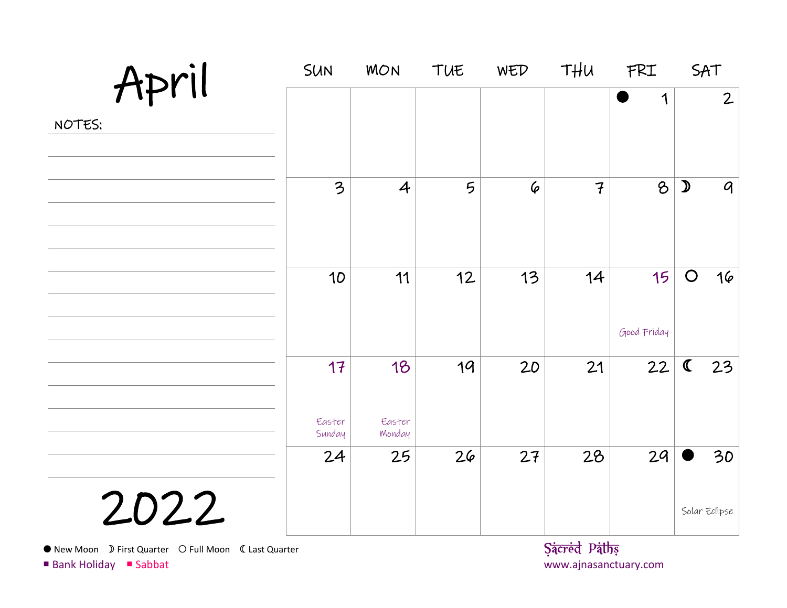| April  | SUN                    | <b>MON</b>             | TUE | WED | THU                                      | FRI               | SAT           |                |
|--------|------------------------|------------------------|-----|-----|------------------------------------------|-------------------|---------------|----------------|
| NOTES: |                        |                        |     |     |                                          | 1                 |               | $\overline{2}$ |
|        | 3                      | $\overline{4}$         | 5   | 6   | $\overline{f}$                           | 8                 | $\mathcal{D}$ | $\mathcal{Q}$  |
|        | 10                     | 11                     | 12  | 13  | 14                                       | 15<br>Good Friday | $\bigcirc$    | 16             |
|        | 17<br>Easter<br>Sunday | 18<br>Easter<br>Monday | 19  | 20  | 21                                       | 22                | $\mathbf C$   | 23             |
| 2022   | 24                     | 25                     | 26  | 27  | 28<br>$\sim$ $\sim$ $\sim$ $\sim$ $\sim$ | 29                | Solar Eclipse | 30             |

• New Moon D First Quarter O Full Moon C Last Quarter **Sacred Paths Sacred Paths**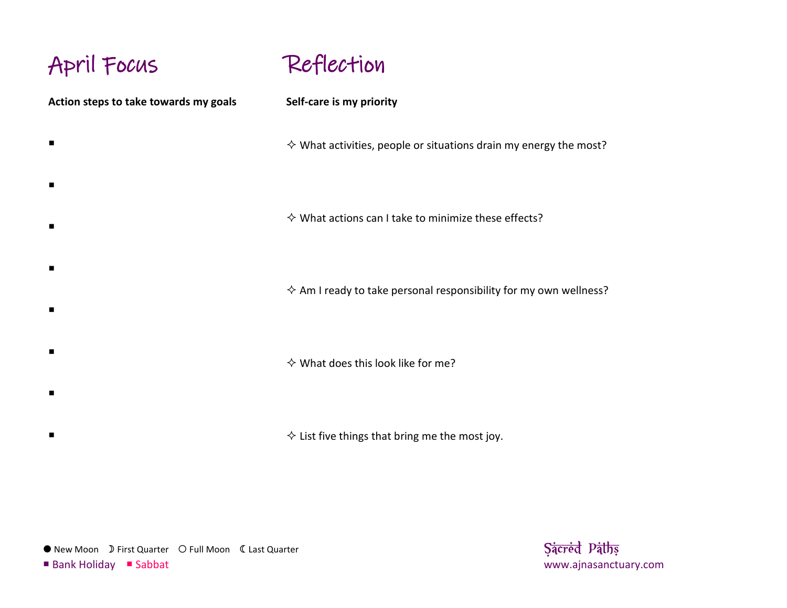# April Focus



**Action steps to take towards my goals**  $\blacksquare$  $\blacksquare$  $\blacksquare$  $\blacksquare$  $\blacksquare$  $\blacksquare$  $\blacksquare$  $\blacksquare$ **Self-care is my priority**  $\diamond$  What activities, people or situations drain my energy the most?  $\Diamond$  What actions can I take to minimize these effects?  $\Diamond$  Am I ready to take personal responsibility for my own wellness?  $\diamond$  What does this look like for me?  $\diamond$  List five things that bring me the most joy.

● New Moon D First Quarter O Full Moon C Last Quarter **Sacred Paths Sacred Paths**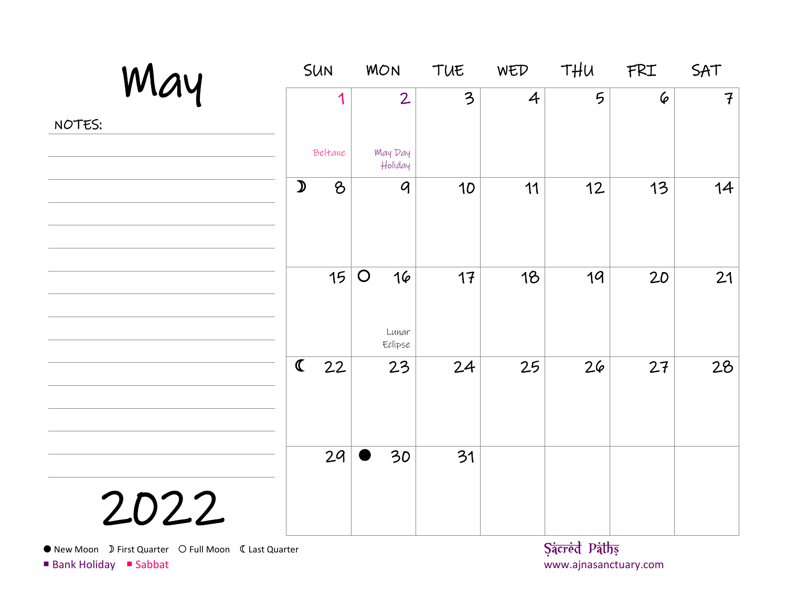| May    |               | <b>SUN</b> | <b>MON</b>                           | TUE                     | WED            | THU              | FRI       | SAT           |
|--------|---------------|------------|--------------------------------------|-------------------------|----------------|------------------|-----------|---------------|
| NOTES: |               | 1          | $\overline{2}$                       | $\overline{\mathbf{3}}$ | $\overline{4}$ | 5                | $\varphi$ | $\mathcal{F}$ |
|        |               | Beltane    | <b>May Day</b><br>Holiday            |                         |                |                  |           |               |
|        | $\mathcal{D}$ | $\delta$   | $\boldsymbol{q}$                     | 10                      | 11             | 12               | 13        | 14            |
|        |               | 15         | $\bigcirc$<br>16<br>Lunar<br>Eclipse | 17                      | 18             | 19               | 20        | 21            |
|        | $\mathbf C$   | 22         | 23                                   | 24                      | 25             | 26               | 27        | 28            |
| 2022   |               | 29         | 30                                   | 31                      |                | $\alpha$ $\beta$ |           |               |

• New Moon D First Quarter O Full Moon C Last Quarter **Sacred Paths Sacred Paths**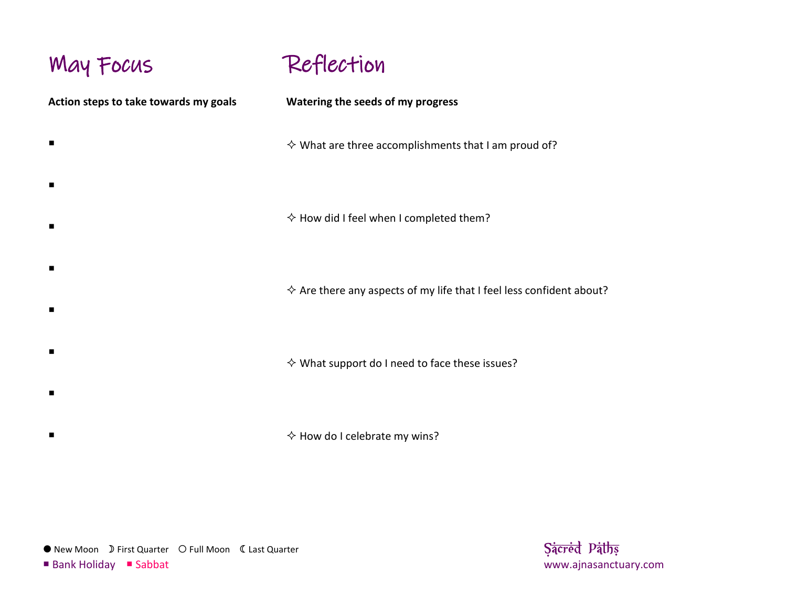### May Focus



**Action steps to take towards my goals**  $\blacksquare$  $\blacksquare$  $\blacksquare$  $\blacksquare$  $\blacksquare$  $\blacksquare$  $\blacksquare$  $\blacksquare$ **Watering the seeds of my progress**  $\diamond$  What are three accomplishments that I am proud of?  $\Diamond$  How did I feel when I completed them?  $\Diamond$  Are there any aspects of my life that I feel less confident about?  $\diamond$  What support do I need to face these issues?  $\Diamond$  How do I celebrate my wins?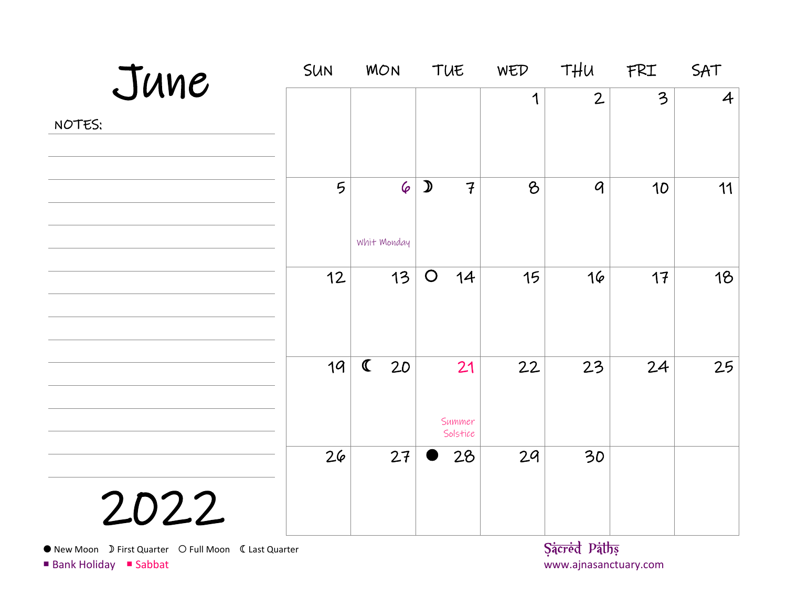| June                                                                                                                                                                                                                                                                                                                                                                                                          | <b>SUN</b>      | <b>MON</b>               | TUE                             | WED | THU                                                         | FRI | SAT            |
|---------------------------------------------------------------------------------------------------------------------------------------------------------------------------------------------------------------------------------------------------------------------------------------------------------------------------------------------------------------------------------------------------------------|-----------------|--------------------------|---------------------------------|-----|-------------------------------------------------------------|-----|----------------|
| NOTES:                                                                                                                                                                                                                                                                                                                                                                                                        |                 |                          |                                 | 1   | $\overline{2}$                                              | 3   | $\overline{4}$ |
|                                                                                                                                                                                                                                                                                                                                                                                                               | $5\overline{)}$ | $\varphi$<br>Whit Monday | $\mathcal{D}$<br>$\overline{f}$ | 8   | $\boldsymbol{q}$                                            | 10  | 11             |
|                                                                                                                                                                                                                                                                                                                                                                                                               | 12              | 13                       | $\bigcirc$<br>14                | 15  | 16                                                          | 17  | 18             |
|                                                                                                                                                                                                                                                                                                                                                                                                               | 19              | $\mathbf C$<br>20        | 21<br>Summer<br>Solstice        | 22  | 23                                                          | 24  | 25             |
| 2022<br>$\bigcap$ $\bigcap$ $\bigcap$ $\bigcap$ $\bigcap$ $\bigcap$ $\bigcap$ $\bigcap$ $\bigcap$ $\bigcap$ $\bigcap$ $\bigcap$ $\bigcap$ $\bigcap$ $\bigcap$ $\bigcap$ $\bigcap$ $\bigcap$ $\bigcap$ $\bigcap$ $\bigcap$ $\bigcap$ $\bigcap$ $\bigcap$ $\bigcap$ $\bigcap$ $\bigcap$ $\bigcap$ $\bigcap$ $\bigcap$ $\bigcap$ $\bigcap$ $\bigcap$ $\bigcap$ $\bigcap$ $\bigcap$ $\bigcap$<br>$\sum_{i=1}^{n}$ | 26              | 27                       | 28                              | 29  | 30<br>$C_{\frac{1}{2}}$ $D_{\frac{1}{2}}$ $D_{\frac{1}{2}}$ |     |                |

● New Moon D First Quarter O Full Moon C Last Quarter **Sacred Paths Sacred Paths**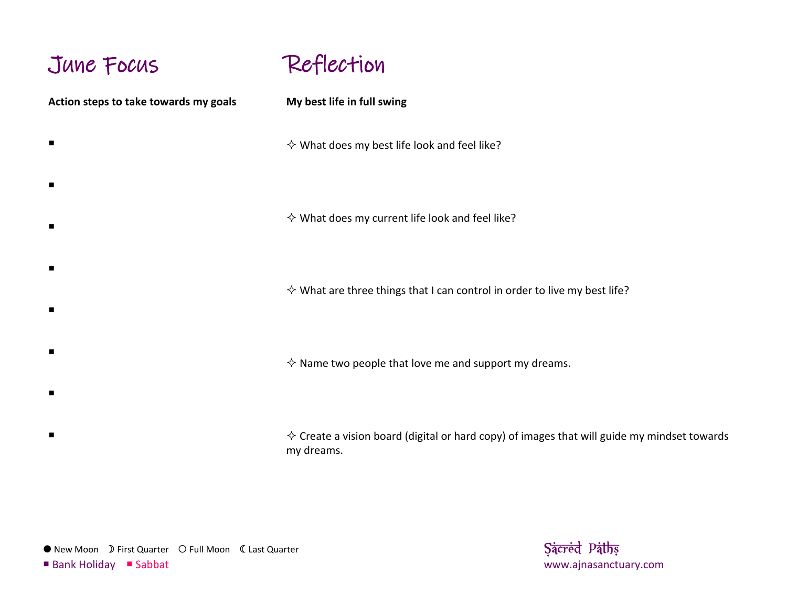# June Focus

### Reflection

**Action steps to take towards my goals**  $\blacksquare$  $\blacksquare$  $\blacksquare$  $\blacksquare$  $\blacksquare$  $\blacksquare$ **My best life in full swing**  $\diamond$  What does my best life look and feel like?  $\diamond$  What does my current life look and feel like?  $\diamond$  What are three things that I can control in order to live my best life?  $\Diamond$  Name two people that love me and support my dreams.

> $\Diamond$  Create a vision board (digital or hard copy) of images that will guide my mindset towards my dreams.

 $\blacksquare$ 

 $\blacksquare$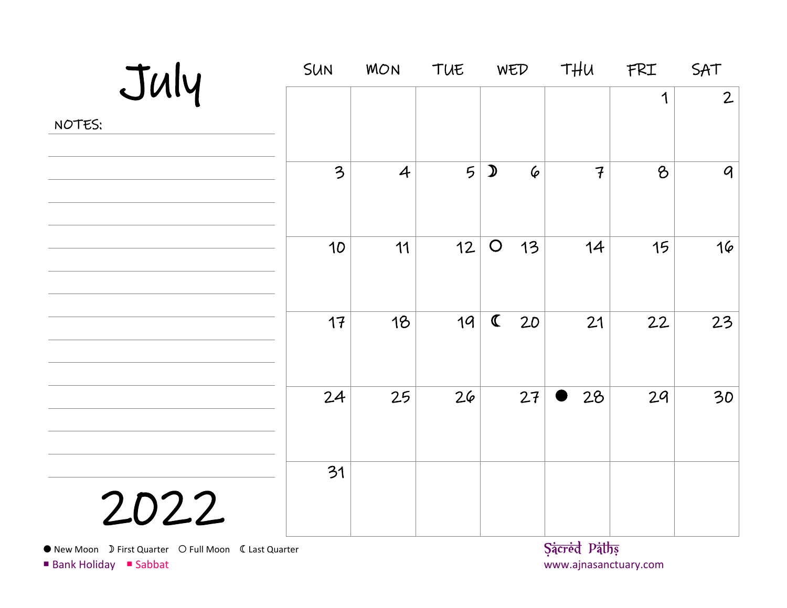| July   | SUN | <b>MON</b>     | TUE             | WED                     |           | THU                                                   | FRI      | SAT              |
|--------|-----|----------------|-----------------|-------------------------|-----------|-------------------------------------------------------|----------|------------------|
| NOTES: |     |                |                 |                         |           |                                                       | 1        | $\overline{2}$   |
|        | 3   | $\overline{A}$ | $5\overline{)}$ | $\mathcal{D}$           | $\varphi$ | $\overline{f}$                                        | $\delta$ | $\boldsymbol{q}$ |
|        | 10  | 11             | 12              | $\bigcirc$              | 13        | 14                                                    | 15       | 16               |
|        | 17  | 18             | 19              | $\overline{\mathbb{C}}$ | 20        | 21                                                    | 22       | 23               |
|        | 24  | 25             | 26              |                         | 27        | 28<br>D                                               | 29       | 30               |
| 2022   | 31  |                |                 |                         |           | $C_{\frac{1}{2}}$ $D_{\frac{1}{2}}$ $D_{\frac{1}{2}}$ |          |                  |

● New Moon D First Quarter O Full Moon C Last Quarter **Sacred Paths Sacred Paths**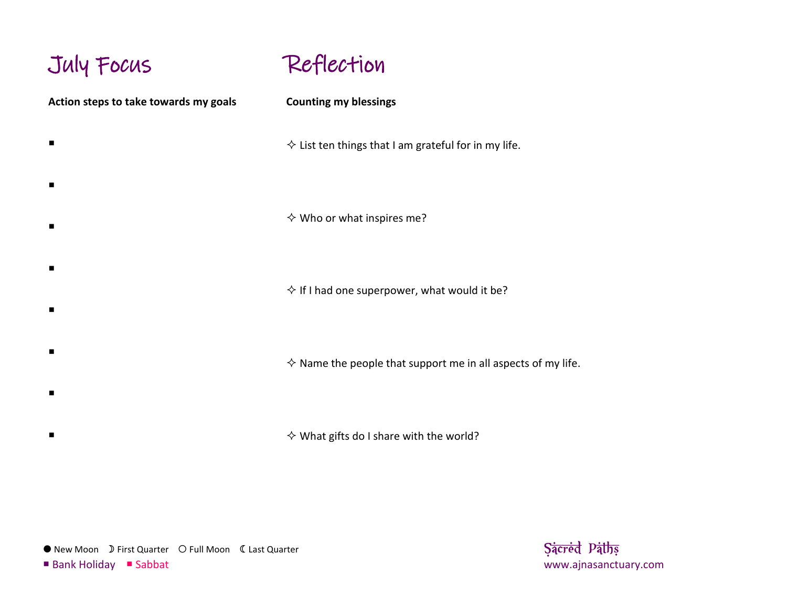### July Focus **Action steps to take towards my goals**  $\blacksquare$  $\blacksquare$  $\blacksquare$  $\blacksquare$  $\blacksquare$  $\blacksquare$  $\blacksquare$  $\blacksquare$ Reflection **Counting my blessings**  $\diamond$  List ten things that I am grateful for in my life.  $\diamond$  Who or what inspires me?  $\Diamond$  If I had one superpower, what would it be?  $\Diamond$  Name the people that support me in all aspects of my life.  $\diamond$  What gifts do I share with the world?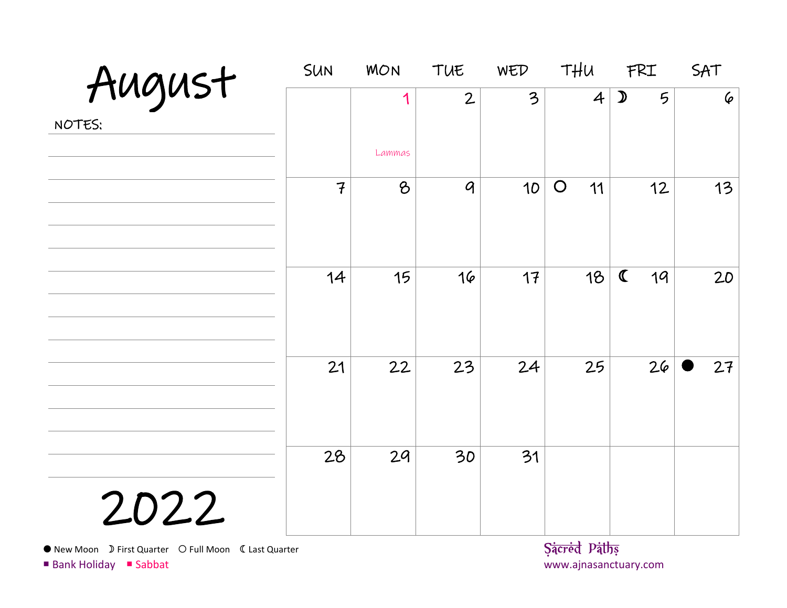|                  | <b>SUN</b>     | <b>MON</b>  | TUE            | WED                      | THU                                  | FRI                | SAT       |
|------------------|----------------|-------------|----------------|--------------------------|--------------------------------------|--------------------|-----------|
| August<br>NOTES: |                | 1<br>Lammas | $\overline{2}$ | $\overline{\mathcal{Z}}$ | $\overline{4}$                       | $\mathcal{D}$<br>5 | $\varphi$ |
|                  | $\overline{f}$ | 8           | $\mathcal{G}$  | 10                       | $\bigcirc$<br>11                     | 12                 | 13        |
|                  | 14             | 15          | 16             | 17                       | 18                                   | $\mathbf C$<br>19  | 20        |
|                  | 21             | 22          | 23             | 24                       | 25                                   | 26                 | 27        |
| 2022             | 28             | 29          | 30             | 31                       | <b>Service Controller Controller</b> |                    |           |

New Moon First Quarter Full Moon Last Quarter **Sacred Paths**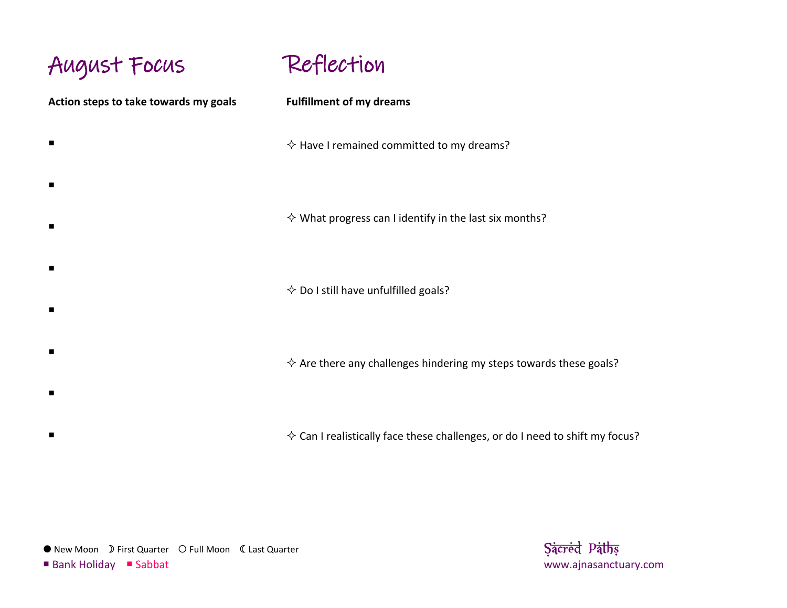August Focus **Action steps to take towards my goals**  $\blacksquare$  $\blacksquare$  $\blacksquare$  $\blacksquare$  $\blacksquare$  $\blacksquare$  $\blacksquare$ Reflection **Fulfillment of my dreams**  $\Diamond$  Have I remained committed to my dreams?  $\diamond$  What progress can I identify in the last six months?  $\diamondsuit$  Do I still have unfulfilled goals?  $\Diamond$  Are there any challenges hindering my steps towards these goals?

 $\diamond$  Can I realistically face these challenges, or do I need to shift my focus?

● New Moon D First Quarter O Full Moon C Last Quarter **Sacred Paths Sacred Paths** 

 $\blacksquare$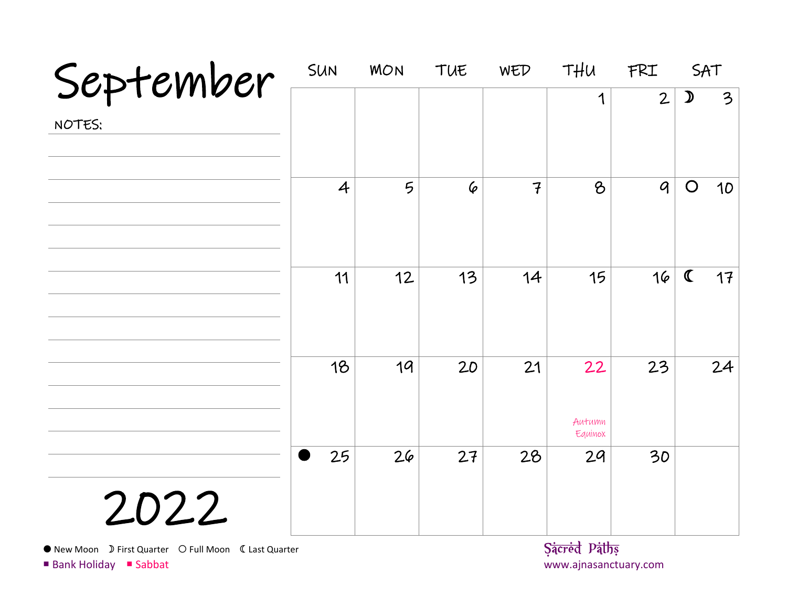| September                                                                        | <b>SUN</b>     | <b>MON</b> | TUE | WED            | THU                                   | FRI              | SAT           |                         |
|----------------------------------------------------------------------------------|----------------|------------|-----|----------------|---------------------------------------|------------------|---------------|-------------------------|
| NOTES:                                                                           |                |            |     |                | 1                                     | $\overline{2}$   | $\mathcal{D}$ | $\overline{\mathbf{3}}$ |
|                                                                                  | $\overline{4}$ | 5          | 6   | $\overline{f}$ | $\mathcal{B}$                         | $\boldsymbol{q}$ | $\bigcirc$    | 10                      |
|                                                                                  | 11             | 12         | 13  | 14             | 15                                    | 16               | $\mathbf C$   | 17                      |
|                                                                                  | 18             | 19         | 20  | 21             | 22<br>Autumn<br>Equinox               | 23               |               | 24                      |
| 2022                                                                             | 25             | 26         | 27  | 28             | 29                                    | 30               |               |                         |
| ● New Moon D First Quarter O Full Moon 《 Last Quarter<br>■ Bank Holiday ■ Sabbat |                |            |     |                | Sacred Paths<br>www.ajnasanctuary.com |                  |               |                         |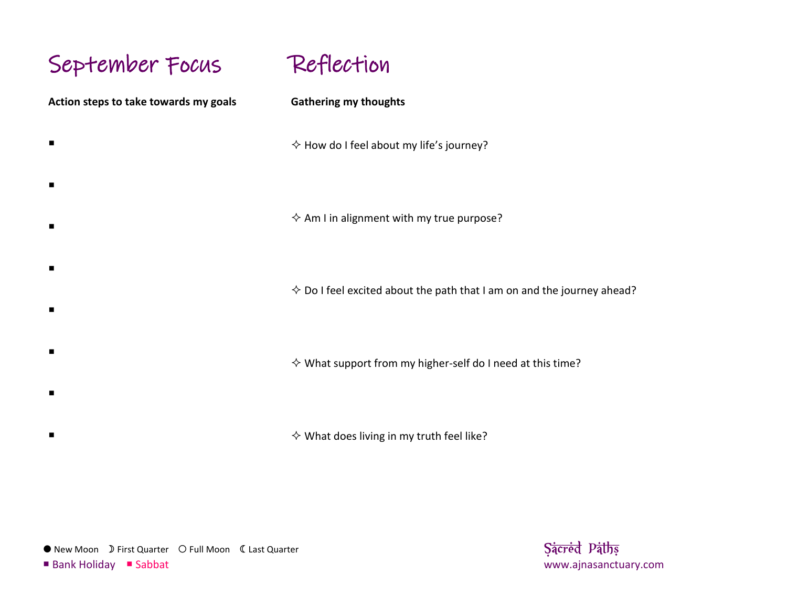# September Focus

 $\blacksquare$ 

 $\blacksquare$ 

 $\blacksquare$ 

 $\blacksquare$ 

 $\blacksquare$ 

 $\blacksquare$ 

 $\blacksquare$ 

 $\blacksquare$ 

**Action steps to take towards my goals**

# Reflection

#### **Gathering my thoughts**

 $\Diamond$  How do I feel about my life's journey?

 $\Diamond$  Am I in alignment with my true purpose?

 $\diamond$  Do I feel excited about the path that I am on and the journey ahead?

 $\diamond$  What support from my higher-self do I need at this time?

 $\diamond$  What does living in my truth feel like?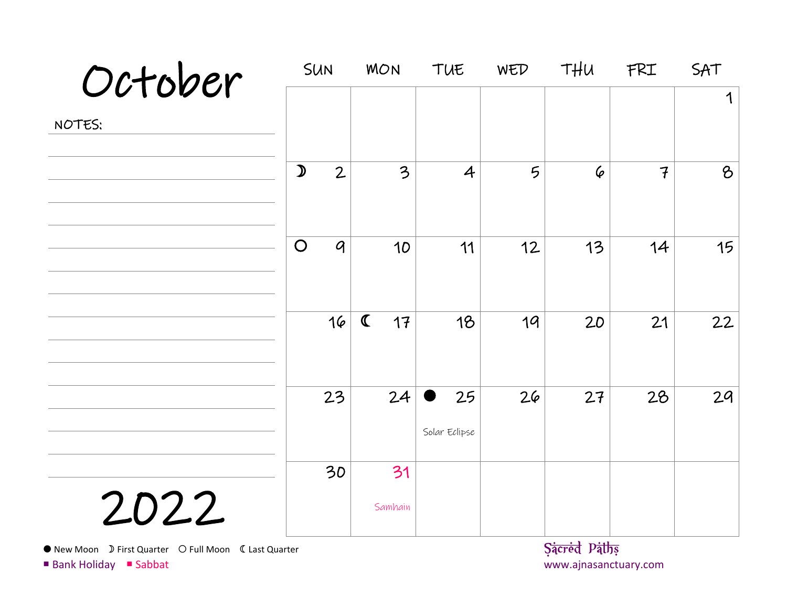| October |               | SUN              | <b>MON</b>               | TUE            | WED | THU       | FRI            | SAT           |
|---------|---------------|------------------|--------------------------|----------------|-----|-----------|----------------|---------------|
|         |               |                  |                          |                |     |           |                | 1             |
| NOTES:  |               |                  |                          |                |     |           |                |               |
|         | $\mathcal{D}$ | $\mathbf{2}$     | $\overline{\mathcal{Z}}$ | $\overline{4}$ | 5   | $\varphi$ | $\overline{f}$ | $\mathcal{B}$ |
|         |               |                  |                          |                |     |           |                |               |
|         | $\bigcirc$    | $\boldsymbol{q}$ | 10                       | 11             | 12  | 13        | 14             | 15            |
|         |               |                  |                          |                |     |           |                |               |
|         |               | 16               | $\mathbf C$<br>17        | 18             | 19  | 20        | 21             | 22            |
|         |               |                  |                          |                |     |           |                |               |
|         |               | 23               | 24                       | 25             | 26  | 27        | 28             | 29            |
|         |               |                  |                          | Solar Eclipse  |     |           |                |               |
|         |               | 30               | 31                       |                |     |           |                |               |
| 2022    |               |                  | Samhain                  |                |     |           |                |               |
|         |               |                  |                          |                |     |           |                |               |

• New Moon D First Quarter O Full Moon C Last Quarter **Sacred Paths Sacred Paths**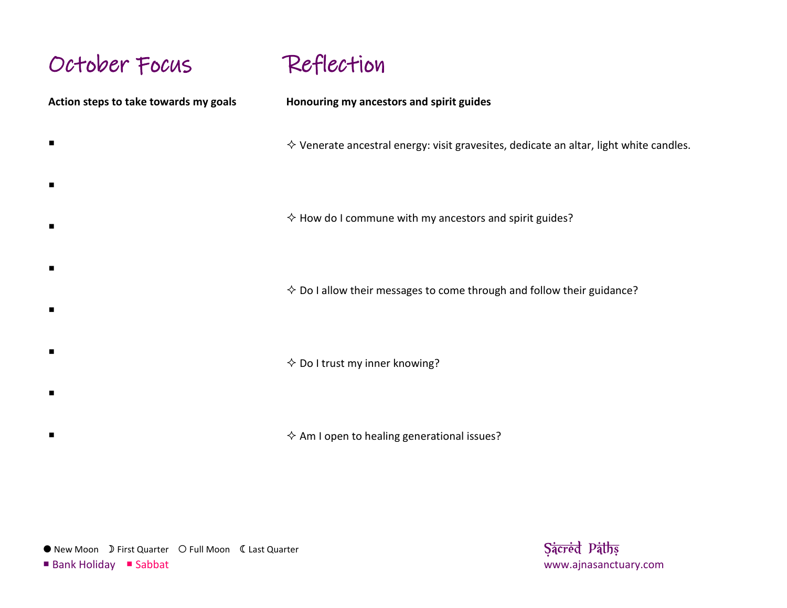### October Focus

Reflection

**Action steps to take towards my goals**  $\blacksquare$  $\blacksquare$  $\blacksquare$  $\blacksquare$  $\blacksquare$  $\blacksquare$  $\blacksquare$ **Honouring my ancestors and spirit guides**  $\diamond$  Venerate ancestral energy: visit gravesites, dedicate an altar, light white candles.  $\Diamond$  How do I commune with my ancestors and spirit guides?  $\diamond$  Do I allow their messages to come through and follow their guidance?  $\diamond$  Do I trust my inner knowing?

 $\Diamond$  Am I open to healing generational issues?

● New Moon D First Quarter O Full Moon C Last Quarter **Sacred Paths Sacred Paths** 

 $\blacksquare$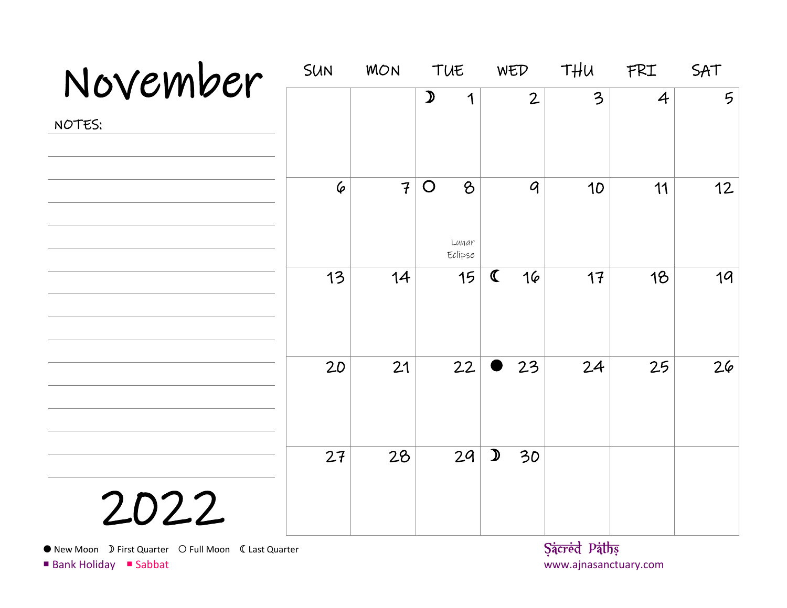| November | SUN       | <b>MON</b>     | TUE                                             | WED                 | THU | FRI            | SAT             |
|----------|-----------|----------------|-------------------------------------------------|---------------------|-----|----------------|-----------------|
| NOTES:   |           |                | $\mathcal{D}$<br>1                              | $\overline{2}$      | 3   | $\overline{4}$ | $5\overline{)}$ |
|          | $\varphi$ | $\overline{f}$ | $\bigcirc$<br>$\mathcal{B}$<br>Lunar<br>Eclipse | $\mathcal{G}$       | 10  | 11             | 12              |
|          | 13        | 14             | 15                                              | $\mathbf C$<br>16   | 17  | 18             | 19              |
|          | 20        | 21             | 22                                              | 23                  | 24  | 25             | 26              |
| 2022     | 27        | 28             | 29                                              | $\mathcal{D}$<br>30 |     |                |                 |

New Moon First Quarter Full Moon Last Quarter **Sacred Paths**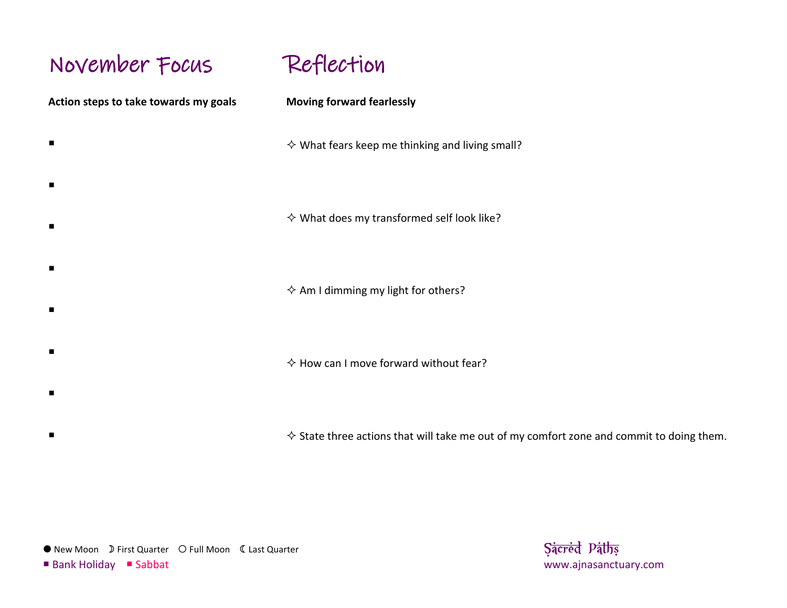# November Focus

**Action steps to take towards my goals**  $\blacksquare$  $\blacksquare$  $\blacksquare$  $\blacksquare$  $\blacksquare$  $\blacksquare$ Reflection **Moving forward fearlessly**  $\diamond$  What fears keep me thinking and living small?  $\diamond$  What does my transformed self look like?  $\Leftrightarrow$  Am I dimming my light for others?  $\Diamond$  How can I move forward without fear?

 $\Diamond$  State three actions that will take me out of my comfort zone and commit to doing them.

● New Moon D First Quarter O Full Moon C Last Quarter **Sacred Paths Sacred Paths** 

 $\blacksquare$ 

 $\blacksquare$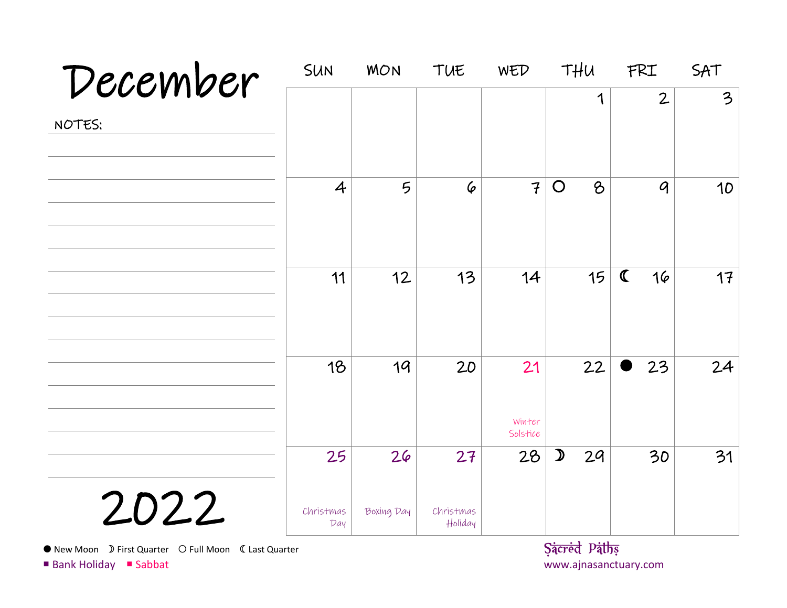| December | SUN                    | <b>MON</b>       | TUE                        | WED                      | THU                    | FRI               | SAT                     |
|----------|------------------------|------------------|----------------------------|--------------------------|------------------------|-------------------|-------------------------|
| NOTES:   |                        |                  |                            |                          | 1                      | $\overline{2}$    | $\overline{\mathbf{3}}$ |
|          | $\overline{4}$         | 5                | $\varphi$                  | $\mathcal{F}$            | $\bigcirc$<br>$\delta$ | $\mathcal{Q}$     | 10                      |
|          | 11                     | 12               | 13                         | 14                       | 15                     | $\mathbf C$<br>16 | 17                      |
|          | 18                     | 19               | 20                         | 21<br>Winter<br>Solstice | 22                     | 23                | 24                      |
| 2022     | 25<br>Christmas<br>Day | 26<br>Boxing Day | 27<br>Christmas<br>Holiday | 28                       | $\mathcal{D}$<br>29    | 30                | 31                      |

New Moon First Quarter Full Moon Last Quarter **Sacred Paths**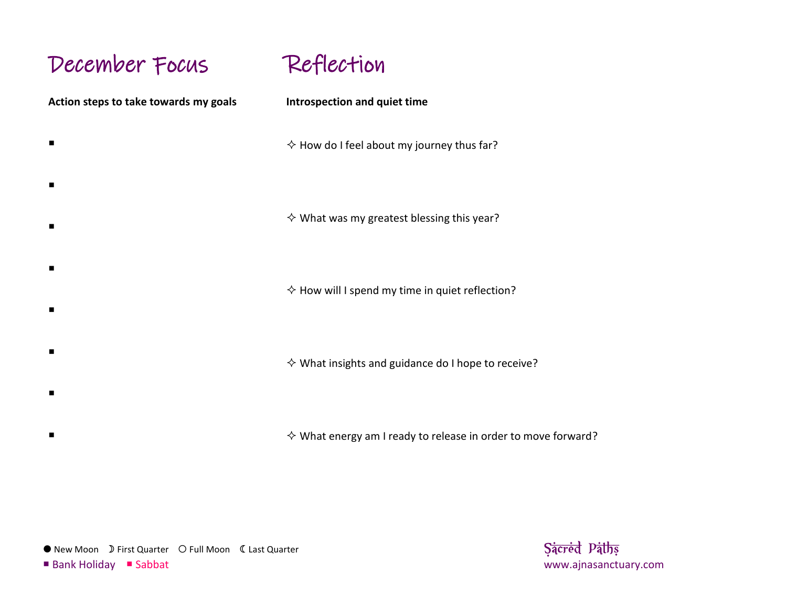# December Focus

 $\blacksquare$ 

 $\blacksquare$ 

 $\blacksquare$ 

 $\blacksquare$ 

 $\blacksquare$ 

 $\blacksquare$ 

 $\blacksquare$ 

 $\blacksquare$ 

Reflection

**Action steps to take towards my goals**

**Introspection and quiet time**

 $\Diamond$  How do I feel about my journey thus far?

 $\diamond$  What was my greatest blessing this year?

 $\Diamond$  How will I spend my time in quiet reflection?

 $\diamond$  What insights and guidance do I hope to receive?

 $\diamond$  What energy am I ready to release in order to move forward?